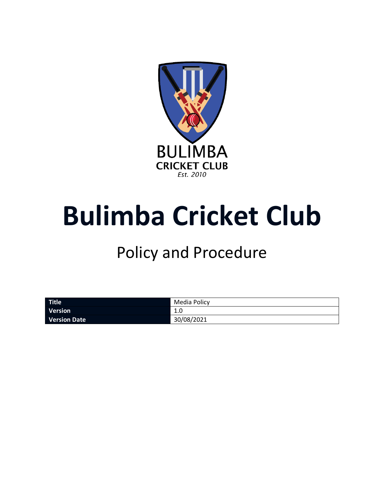

# **Bulimba Cricket Club**

# Policy and Procedure

| Title               | Media Policy |
|---------------------|--------------|
| Version             | 1.U          |
| <b>Version Date</b> | 30/08/2021   |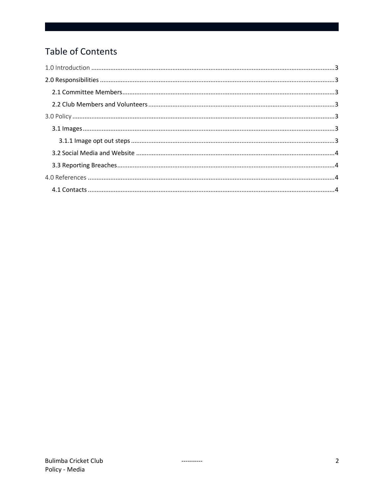# Table of Contents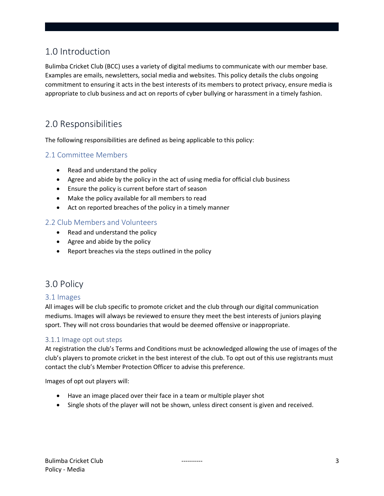# <span id="page-2-0"></span>1.0 Introduction

Bulimba Cricket Club (BCC) uses a variety of digital mediums to communicate with our member base. Examples are emails, newsletters, social media and websites. This policy details the clubs ongoing commitment to ensuring it acts in the best interests of its members to protect privacy, ensure media is appropriate to club business and act on reports of cyber bullying or harassment in a timely fashion.

# <span id="page-2-1"></span>2.0 Responsibilities

The following responsibilities are defined as being applicable to this policy:

### <span id="page-2-2"></span>2.1 Committee Members

- Read and understand the policy
- Agree and abide by the policy in the act of using media for official club business
- Ensure the policy is current before start of season
- Make the policy available for all members to read
- Act on reported breaches of the policy in a timely manner

#### <span id="page-2-3"></span>2.2 Club Members and Volunteers

- Read and understand the policy
- Agree and abide by the policy
- Report breaches via the steps outlined in the policy

# <span id="page-2-4"></span>3.0 Policy

#### <span id="page-2-5"></span>3.1 Images

All images will be club specific to promote cricket and the club through our digital communication mediums. Images will always be reviewed to ensure they meet the best interests of juniors playing sport. They will not cross boundaries that would be deemed offensive or inappropriate.

#### <span id="page-2-6"></span>3.1.1 Image opt out steps

At registration the club's Terms and Conditions must be acknowledged allowing the use of images of the club's players to promote cricket in the best interest of the club. To opt out of this use registrants must contact the club's Member Protection Officer to advise this preference.

Images of opt out players will:

- Have an image placed over their face in a team or multiple player shot
- Single shots of the player will not be shown, unless direct consent is given and received.